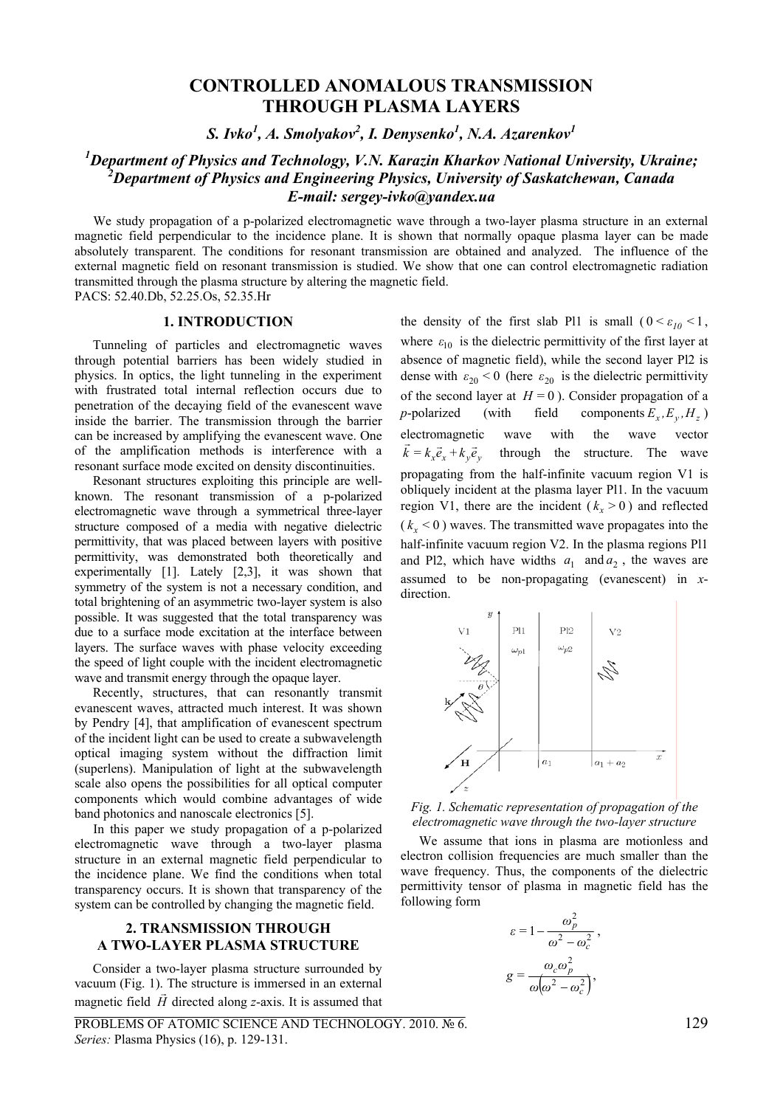# **CONTROLLED ANOMALOUS TRANSMISSION THROUGH PLASMA LAYERS**

*S. Ivko<sup>1</sup> , A. Smolyakov2 , I. Denysenko<sup>1</sup> , N.A. Azarenkov<sup>1</sup>*

# <sup>*1*</sup> Department of Physics and Technology, V.N. Karazin Kharkov National University, Ukraine; <sup>2</sup><br><sup>2</sup> Department of Physics and Engineering Physics, University of Saskatchewan, Canada *Department of Physics and Engineering Physics, University of Saskatchewan, Canada E-mail: sergey-ivko@yandex.ua*

We study propagation of a p-polarized electromagnetic wave through a two-layer plasma structure in an external magnetic field perpendicular to the incidence plane. It is shown that normally opaque plasma layer can be made absolutely transparent. The conditions for resonant transmission are obtained and analyzed. The influence of the external magnetic field on resonant transmission is studied. We show that one can control electromagnetic radiation transmitted through the plasma structure by altering the magnetic field. PACS: 52.40.Db, 52.25.Os, 52.35.Hr

# **1. INTRODUCTION**

Tunneling of particles and electromagnetic waves through potential barriers has been widely studied in physics. In optics, the light tunneling in the experiment with frustrated total internal reflection occurs due to penetration of the decaying field of the evanescent wave inside the barrier. The transmission through the barrier can be increased by amplifying the evanescent wave. One of the amplification methods is interference with a resonant surface mode excited on density discontinuities.

Resonant structures exploiting this principle are wellknown. The resonant transmission of a p-polarized electromagnetic wave through a symmetrical three-layer structure composed of a media with negative dielectric permittivity, that was placed between layers with positive permittivity, was demonstrated both theoretically and experimentally [1]. Lately [2,3], it was shown that symmetry of the system is not a necessary condition, and total brightening of an asymmetric two-layer system is also possible. It was suggested that the total transparency was due to a surface mode excitation at the interface between layers. The surface waves with phase velocity exceeding the speed of light couple with the incident electromagnetic wave and transmit energy through the opaque layer.

Recently, structures, that can resonantly transmit evanescent waves, attracted much interest. It was shown by Pendry [4], that amplification of evanescent spectrum of the incident light can be used to create a subwavelength optical imaging system without the diffraction limit (superlens). Manipulation of light at the subwavelength scale also opens the possibilities for all optical computer components which would combine advantages of wide band photonics and nanoscale electronics [5].

In this paper we study propagation of a p-polarized electromagnetic wave through a two-layer plasma structure in an external magnetic field perpendicular to the incidence plane. We find the conditions when total transparency occurs. It is shown that transparency of the system can be controlled by changing the magnetic field.

## **2. TRANSMISSION THROUGH A TWO-LAYER PLASMA STRUCTURE**

Consider a two-layer plasma structure surrounded by vacuum (Fig. 1). The structure is immersed in an external magnetic field  $\vec{H}$  directed along *z*-axis. It is assumed that

PROBLEMS OF ATOMIC SCIENCE AND TECHNOLOGY. 2010. Nº 6. 129 *Series:* Plasma Physics (16), p. 129-131.

the density of the first slab Pl1 is small  $(0 < \varepsilon_{10} < 1)$ , where  $\varepsilon_{10}$  is the dielectric permittivity of the first layer at absence of magnetic field), while the second layer Pl2 is dense with  $\varepsilon_{20}$  < 0 (here  $\varepsilon_{20}$  is the dielectric permittivity of the second layer at  $H = 0$ ). Consider propagation of a *p*-polarized (with field components  $E_x, E_y, H_z$ ) electromagnetic wave with the wave vector  $\vec{k} = k_x \vec{e}_x + k_y \vec{e}_y$  through the structure. The wave propagating from the half-infinite vacuum region V1 is obliquely incident at the plasma layer Pl1. In the vacuum region V1, there are the incident ( $k_x > 0$ ) and reflected  $(k_r < 0)$  waves. The transmitted wave propagates into the half-infinite vacuum region V2. In the plasma regions Pl1 and Pl2, which have widths  $a_1$  and  $a_2$ , the waves are assumed to be non-propagating (evanescent) in *x*direction.



*Fig. 1. Schematic representation of propagation of the electromagnetic wave through the two-layer structure* 

We assume that ions in plasma are motionless and electron collision frequencies are much smaller than the wave frequency. Thus, the components of the dielectric permittivity tensor of plasma in magnetic field has the following form

$$
\varepsilon = 1 - \frac{\omega_p^2}{\omega^2 - \omega_c^2},
$$

$$
g = \frac{\omega_c \omega_p^2}{\omega(\omega^2 - \omega_c^2)},
$$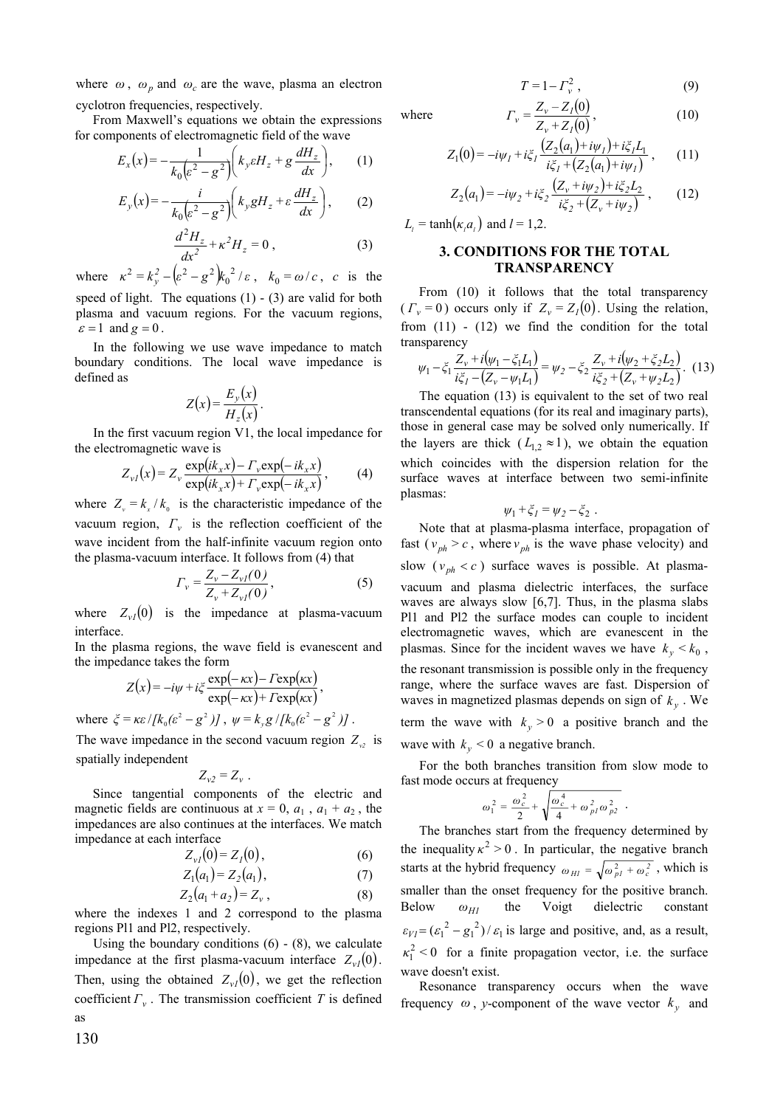where  $\omega$ ,  $\omega_p$  and  $\omega_c$  are the wave, plasma an electron cyclotron frequencies, respectively.

From Maxwell's equations we obtain the expressions for components of electromagnetic field of the wave

$$
E_x(x) = -\frac{1}{k_0 \left(\varepsilon^2 - g^2\right)} \left(k_y \varepsilon H_z + g \frac{dH_z}{dx}\right),\qquad(1)
$$

$$
E_y(x) = -\frac{i}{k_0 \left(\varepsilon^2 - g^2\right)} \left(k_y g H_z + \varepsilon \frac{dH_z}{dx}\right),\qquad(2)
$$

$$
\frac{d^2H_z}{dx^2} + \kappa^2 H_z = 0 \,, \tag{3}
$$

where  $\kappa^2 = k_y^2 - (\varepsilon^2 - g^2) k_0^2 / \varepsilon$ ,  $k_0 = \omega / c$ , *c* is the speed of light. The equations  $(1) - (3)$  are valid for both plasma and vacuum regions. For the vacuum regions,  $\varepsilon = 1$  and  $g = 0$ .

In the following we use wave impedance to match boundary conditions. The local wave impedance is defined as

$$
Z(x) = \frac{E_y(x)}{H_z(x)}.
$$

In the first vacuum region V1, the local impedance for the electromagnetic wave is

$$
Z_{vI}(x) = Z_v \frac{\exp(ik_x x) - \Gamma_v \exp(-ik_x x)}{\exp(ik_x x) + \Gamma_v \exp(-ik_x x)},
$$
(4)

where  $Z_v = k_x / k_0$  is the characteristic impedance of the vacuum region, *Γv* is the reflection coefficient of the wave incident from the half-infinite vacuum region onto the plasma-vacuum interface. It follows from (4) that

$$
\Gamma_{v} = \frac{Z_{v} - Z_{vl}(0)}{Z_{v} + Z_{vl}(0)},
$$
\n(5)

where  $Z_{\nu I}(0)$  is the impedance at plasma-vacuum interface.

In the plasma regions, the wave field is evanescent and the impedance takes the form

$$
Z(x) = -i\psi + i\xi \frac{\exp(-\kappa x) - \operatorname{Fexp}(\kappa x)}{\exp(-\kappa x) + \operatorname{Fexp}(\kappa x)},
$$

where  $\zeta = \kappa \varepsilon / [k_0(\varepsilon^2 - g^2)]$ ,  $\psi = k_y g / [k_0(\varepsilon^2 - g^2)]$ .

The wave impedance in the second vacuum region  $Z_{\nu}$  is spatially independent

$$
Z_{v2}=Z_v.
$$

Since tangential components of the electric and magnetic fields are continuous at  $x = 0$ ,  $a_1$ ,  $a_1 + a_2$ , the impedances are also continues at the interfaces. We match impedance at each interface

$$
Z_{\nu I}(0) = Z_I(0), \tag{6}
$$

$$
Z_1(a_1) = Z_2(a_1), \tag{7}
$$

$$
Z_2(a_1 + a_2) = Z_{\nu}, \qquad (8)
$$

where the indexes 1 and 2 correspond to the plasma regions Pl1 and Pl2, respectively.

Using the boundary conditions  $(6)$  -  $(8)$ , we calculate impedance at the first plasma-vacuum interface  $Z_{\nu}$   $(0)$ . Then, using the obtained  $Z_{\nu I}(0)$ , we get the reflection coefficient *Γ<sup>v</sup>* . The transmission coefficient *T* is defined as

$$
T = 1 - \Gamma_v^2 \,,\tag{9}
$$

where 
$$
\Gamma_{\nu} = \frac{Z_{\nu} - Z_I(0)}{Z_{\nu} + Z_I(0)},
$$
 (10)

$$
Z_1(0) = -i\psi_I + i\xi_I \frac{(Z_2(a_1) + i\psi_I) + i\xi_I L_1}{i\xi_I + (Z_2(a_1) + i\psi_I)},
$$
 (11)

$$
Z_2(a_1) = -i\psi_2 + i\xi_2 \frac{(Z_v + i\psi_2) + i\xi_2 L_2}{i\xi_2 + (Z_v + i\psi_2)},
$$
 (12)

 $L_i = \tanh(\kappa_i a_i)$  and  $l = 1,2$ .

## **3. CONDITIONS FOR THE TOTAL TRANSPARENCY**

From (10) it follows that the total transparency  $(\Gamma_v = 0)$  occurs only if  $Z_v = Z_l(0)$ . Using the relation, from  $(11)$  -  $(12)$  we find the condition for the total transparency

$$
\psi_1 - \xi_1 \frac{Z_v + i(\psi_1 - \xi_1 L_1)}{i\xi_1 - (Z_v - \psi_1 L_1)} = \psi_2 - \xi_2 \frac{Z_v + i(\psi_2 + \xi_2 L_2)}{i\xi_2 + (Z_v + \psi_2 L_2)}.
$$
(13)

The equation (13) is equivalent to the set of two real transcendental equations (for its real and imaginary parts), those in general case may be solved only numerically. If the layers are thick  $(L_{1,2} \approx 1)$ , we obtain the equation which coincides with the dispersion relation for the surface waves at interface between two semi-infinite plasmas:

$$
\psi_1+\xi_1=\psi_2-\xi_2.
$$

Note that at plasma-plasma interface, propagation of fast ( $v_{ph} > c$ , where  $v_{ph}$  is the wave phase velocity) and slow  $(v_{ph} < c)$  surface waves is possible. At plasmavacuum and plasma dielectric interfaces, the surface waves are always slow [6,7]. Thus, in the plasma slabs Pl1 and Pl2 the surface modes can couple to incident electromagnetic waves, which are evanescent in the plasmas. Since for the incident waves we have  $k_y < k_0$ , the resonant transmission is possible only in the frequency range, where the surface waves are fast. Dispersion of waves in magnetized plasmas depends on sign of  $k_v$ . We term the wave with  $k_y > 0$  a positive branch and the wave with  $k_y < 0$  a negative branch.

For the both branches transition from slow mode to fast mode occurs at frequency

$$
\omega_1^2 = \frac{\omega_c^2}{2} + \sqrt{\frac{\omega_c^4}{4} + \omega_{pl}^2 \omega_{p2}^2} \ .
$$

The branches start from the frequency determined by the inequality  $\kappa^2 > 0$ . In particular, the negative branch starts at the hybrid frequency  $\omega_{H1} = \sqrt{\omega_{p1}^2 + \omega_c^2}$ , which is smaller than the onset frequency for the positive branch. Below  $\omega_{H1}$  the Voigt dielectric constant  $\varepsilon_{VI} = (\varepsilon_1^2 - g_1^2)/\varepsilon_1$  is large and positive, and, as a result,  $\kappa_1^2$  < 0 for a finite propagation vector, i.e. the surface wave doesn't exist.

Resonance transparency occurs when the wave frequency  $\omega$ , *y*-component of the wave vector  $k_y$  and